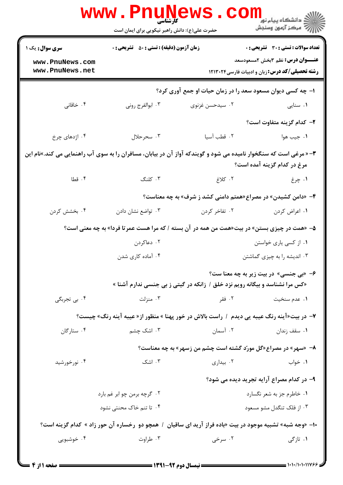|                                                                                                                                                          | www . Pnu<br><b>کارشناسی</b><br>حضرت علی(ع): دانش راهبر نیکویی برای ایمان است                                         | WS.CO                     | ڪ دانشڪاه پيا <sub>م</sub> نور<br><mark>√</mark> مرڪز آزمون وسنڊش                               |  |
|----------------------------------------------------------------------------------------------------------------------------------------------------------|-----------------------------------------------------------------------------------------------------------------------|---------------------------|-------------------------------------------------------------------------------------------------|--|
| <b>سری سوال :</b> یک ۱                                                                                                                                   | <b>زمان آزمون (دقیقه) : تستی : 50 ٪ تشریحی : 0</b>                                                                    |                           | تعداد سوالات : تستى : 30 - تشريحي : 0                                                           |  |
| www.PnuNews.com<br>www.PnuNews.net                                                                                                                       |                                                                                                                       |                           | <b>عنـــوان درس:</b> نظم 3بخش 2مسعودسعد<br><b>رشته تحصیلی/کد درس:</b> زبان و ادبیات فارسی۲۱۳۰۲۴ |  |
|                                                                                                                                                          | ۱– چه کسی دیوان مسعود سعد را در زمان حیات او جمع آوری کرد؟                                                            |                           |                                                                                                 |  |
| ۰۴ خاقانی                                                                                                                                                | ۰۳ ابوالفرج روني                                                                                                      | ۰۲ سیدحسن غزنوی           | ۰۱ سنایی                                                                                        |  |
|                                                                                                                                                          |                                                                                                                       |                           | ۲– کدام گزینه متفاوت است؟                                                                       |  |
| ۰۴ اژدهای چرخ                                                                                                                                            | ۰۳ سحرحلال                                                                                                            | ۰۲ قطب آسیا               | ۰۱ جيب هوا                                                                                      |  |
| <b>۳</b> - « مرغی است که سنگخوار نامیده می شود و گویندکه آواز آن در بیابان، مسافران را به سوی آب راهنمایی می کند.»نام این<br>مرغ در کدام گزینه آمده است؟ |                                                                                                                       |                           |                                                                                                 |  |
| ۰۴ قطا                                                                                                                                                   | ۰۳ کلنگ                                                                                                               | ۰۲ کلاغ                   | ۰۱ چرغ                                                                                          |  |
|                                                                                                                                                          |                                                                                                                       |                           | ۴- «دامن کشیدن» در مصراع«همتم دامنی کشد ز شرف» به چه معناست؟                                    |  |
| ۰۴ بخشش کردن                                                                                                                                             | ۰۳ تواضع نشان دادن                                                                                                    | ۰۲ تفاخر کردن             | ٠١. اعراض كردن                                                                                  |  |
|                                                                                                                                                          | ۵– «همت در چیزی بستن» در بیت«همت من همه در آن بسته / که مرا هست عمرتا فردا» به چه معنی است؟                           |                           |                                                                                                 |  |
|                                                                                                                                                          | ۰۲ دعاکردن                                                                                                            |                           | ۰۱ از کسی یاری خواستن                                                                           |  |
|                                                                                                                                                          | ۰۴ آماده کاری شدن                                                                                                     |                           | ۰۳ اندیشه را به چیزی گماشتن                                                                     |  |
|                                                                                                                                                          | ۶- «بی جنسی» در بیت زیر به چه معنا ست؟<br>«کس مرا نشناسد و بیگانه رویم نزد خلق / زانکه در گیتی ز بی جنسی ندارم آشنا » |                           |                                                                                                 |  |
| ۰۴ بی تجربگی                                                                                                                                             | ۰۳ منزلت                                                                                                              | ۰۲ فقر                    | ٠١. عدم سنخيت                                                                                   |  |
| ۷– در بیت«آینه رنگ عیبه یی دیدم  /  راست بالاش در خور پهنا » منظور از« عیبه آینه رنگ» چیست؟                                                              |                                                                                                                       |                           |                                                                                                 |  |
| ۰۴ ستارگان                                                                                                                                               | ۰۳ اشک چشم                                                                                                            | ۰۲ آسمان                  | ۰۱ سقف زندان                                                                                    |  |
|                                                                                                                                                          |                                                                                                                       |                           | ۸- «سهر» در مصراع«گل مورّد گشته است چشم من زسهر» به چه معناست؟                                  |  |
| ۰۴ نورخورشید                                                                                                                                             | ۰۳ اشک                                                                                                                | ۰۲ بیداری                 | ۰۱ خواب                                                                                         |  |
|                                                                                                                                                          |                                                                                                                       |                           | ۹- در کدام مصراع آرایه تجرید دیده می شود؟                                                       |  |
| ۰۲ گرچه برمن چو ابر غم بارد                                                                                                                              |                                                                                                                       | ۰۱ خاطرم جز به شعر نگسارد |                                                                                                 |  |
|                                                                                                                                                          | ۰۴ تا تنم خاک محنتی نشود                                                                                              |                           | ۰۳ از فلک تنگدل مشو مسعود                                                                       |  |
| ۱۰- «وجه شبه» تشبیه موجود در بیت «باده فراز آرید ای ساقیان ۱ همچو دو رخساره آن حور زاد » کدام گزینه است؟                                                 |                                                                                                                       |                           |                                                                                                 |  |
| ۰۴ خوشبویی                                                                                                                                               | ۰۳ طراوت                                                                                                              | ۰۲ سرخی                   | ۰۱ تازگی                                                                                        |  |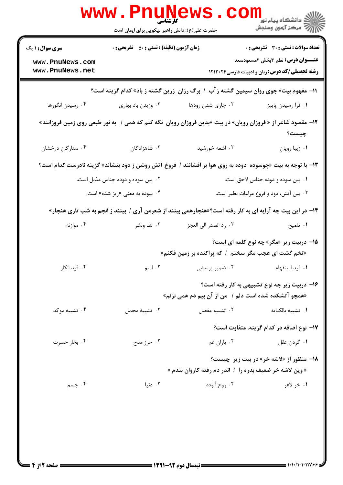|                                                                                                                  | <b>www.rnune</b><br><b>کارشناسی</b><br>حضرت علی(ع): دانش راهبر نیکویی برای ایمان است |                                                                                                                     | ر دانشڪاه پيام نور<br>ا∛ مرکز آزمون وسنجش                                                                                                       |  |
|------------------------------------------------------------------------------------------------------------------|--------------------------------------------------------------------------------------|---------------------------------------------------------------------------------------------------------------------|-------------------------------------------------------------------------------------------------------------------------------------------------|--|
| <b>سری سوال : ۱ یک</b><br>www.PnuNews.com<br>www.PnuNews.net                                                     | <b>زمان آزمون (دقیقه) : تستی : 50 ٪ تشریحی : 0</b>                                   |                                                                                                                     | <b>تعداد سوالات : تستی : 30 ٪ تشریحی : 0</b><br><b>عنـــوان درس:</b> نظم ۳بخش ۲مسعودسعد<br><b>رشته تحصیلی/کد درس:</b> زبان و ادبیات فارسی۲۱۳۰۲۴ |  |
| 11- مفهوم بیت« جوی روان سیمین گشته زآب / برگ رزان ِ زرین گشته ز باد» کدام گزینه است؟                             |                                                                                      |                                                                                                                     |                                                                                                                                                 |  |
| ۰۴ رسیدن انگورها                                                                                                 | ۰۳ وزیدن باد بهاری                                                                   | ۰۲ جاری شدن رودها                                                                                                   | ٠١ فرا رسيدن پاييز                                                                                                                              |  |
|                                                                                                                  |                                                                                      | ۱۲- مقصود شاعر از « فروزان رویان» در بیت «بدین فروزان رویان  نگه کنم که همی /  به نور طبعی روی زمین فروزانند»       | چیست؟                                                                                                                                           |  |
| ۰۴ ستارگان درخشان                                                                                                | ۰۳ شاهزادگان                                                                         | ۰۲ اشعه خورشید                                                                                                      | ٠١ زيبا رويان                                                                                                                                   |  |
|                                                                                                                  |                                                                                      | ۱۳- با توجه به بیت «چوسوده  دوده به روی هوا بر افشانند /  فروغ آتش روشن ز دود بنشاند» گزینه <u>نادرست</u> کدام است؟ |                                                                                                                                                 |  |
|                                                                                                                  | ۰۲ بین سوده و دوده جناس مذیل است.                                                    |                                                                                                                     | ۰۱ بین سوده و دوده جناس لاحق است.                                                                                                               |  |
|                                                                                                                  | ۰۴ سوده به معنی «ریز شده» است.                                                       |                                                                                                                     | ۰۳ بین آتش، دود و فروغ مراعات نظیر است.                                                                                                         |  |
| <b>۱۴</b> - در این بیت چه آرایه ای به کار رفته است؟«هنجارهمی بینند از شعرمن آری / بینند ز انجم به شب تاری هنجار» |                                                                                      |                                                                                                                     |                                                                                                                                                 |  |
| ۰۴ موازنه                                                                                                        | ۰۳ لف ونشر                                                                           | ۰۲ رد الصدر الي العجز                                                                                               | ۰۱ تلمیح                                                                                                                                        |  |
|                                                                                                                  |                                                                                      | «تخم گشت ای عجب مگر سخنم ۱ که پراکنده بر زمین فکنم»                                                                 | <b>۱۵</b> - دربیت زیر «مگر» چه نوع کلمه ای است؟                                                                                                 |  |
| ۰۴ قید انکار                                                                                                     |                                                                                      | ۰۱ قید استفهام مسمع ۲۰ شمیر پرسشی مسمع ۲۰ اسم                                                                       |                                                                                                                                                 |  |
|                                                                                                                  |                                                                                      | «همچو آتشکده شده است دلم / ً من از آن بیم دم همی نزنم»                                                              | ۱۶- دربیت زیر چه نوع تشبیهی به کار رفته است؟                                                                                                    |  |
| ۰۴ تشبیه موکد                                                                                                    | ۰۳ تشبیه مجمل                                                                        | ٠٢ تشبيه مفصل                                                                                                       | ٠١ تشبيه بالكنايه                                                                                                                               |  |
|                                                                                                                  |                                                                                      |                                                                                                                     | ۱۷– نوع اضافه در کدام گزینه، متفاوت است؟                                                                                                        |  |
| ۰۴ بخار حسرت                                                                                                     | ۰۳ حرز مدح                                                                           | ۰۲ باران غم                                                                                                         | ۰۱ گردن عقل                                                                                                                                     |  |
|                                                                                                                  |                                                                                      | « وین لاشه خر ضعیف بدره را / اندر دم رفته کاروان بندم »                                                             | <b>۱۸- منظور از «لاشه خر» در بیت زیر چیست؟</b>                                                                                                  |  |
| ۰۴ جسم                                                                                                           | دنيا $\cdot$                                                                         | ۰۲ روح آلوده                                                                                                        | ١. خر لاغر                                                                                                                                      |  |
|                                                                                                                  |                                                                                      |                                                                                                                     |                                                                                                                                                 |  |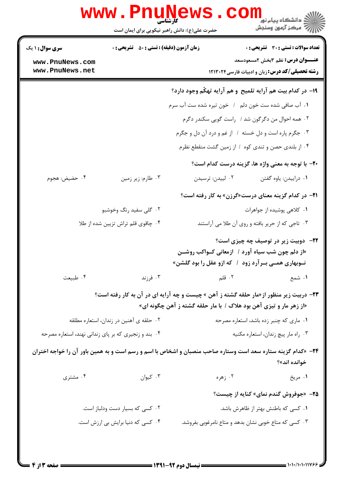|                                                      | <b>www.PnuNews</b><br>کار شناسی                    |                                                                                                                                                                                                                                       | دانشگاه پيام نور¶<br>ا <mark>∜</mark> مرکز آزمهن وسنجش                                                                      |
|------------------------------------------------------|----------------------------------------------------|---------------------------------------------------------------------------------------------------------------------------------------------------------------------------------------------------------------------------------------|-----------------------------------------------------------------------------------------------------------------------------|
|                                                      | حضرت علی(ع): دانش راهبر نیکویی برای ایمان است      |                                                                                                                                                                                                                                       |                                                                                                                             |
| <b>سری سوال : ۱ یک</b>                               | <b>زمان آزمون (دقیقه) : تستی : 50 ٪ تشریحی : 0</b> |                                                                                                                                                                                                                                       | <b>تعداد سوالات : تستی : 30 ٪ تشریحی : 0</b>                                                                                |
| www.PnuNews.com<br>www.PnuNews.net                   |                                                    |                                                                                                                                                                                                                                       | <b>عنـــوان درس:</b> نظم 3بخش 2مسعودسعد<br><b>رشته تحصیلی/کد درس:</b> زبان و ادبیات فارسی۲۰۲۴ ۱۲۱۳۰۲۴                       |
|                                                      |                                                    |                                                                                                                                                                                                                                       | ۱۹- در کدام بیت هم آرایه تلمیح و هم آرایه تهکّم وجود دارد؟                                                                  |
|                                                      |                                                    | ١. آب صافی شده ست خون دلم   /   خون تیره شده ست آب سرم                                                                                                                                                                                |                                                                                                                             |
|                                                      |                                                    |                                                                                                                                                                                                                                       | ۰۲ همه احوال من دگرگون شد / راست گویی سکندر دگرم                                                                            |
|                                                      |                                                    | ۰۳ جگرم پاره است و دل خسته / از غم و درد آن دل و جگرم                                                                                                                                                                                 |                                                                                                                             |
|                                                      |                                                    |                                                                                                                                                                                                                                       | ۰۴ از بلندی حصن و تندی کوه ۱ از زمین گشت منقطع نظرم                                                                         |
|                                                      |                                                    |                                                                                                                                                                                                                                       | ٢٠- با توجه به معنى واژه ها، گزينه درست كدام است؟                                                                           |
| ۰۴ حضيض: هجوم                                        | ۰۳ طارم: زير زمين                                  | ۰۲ لییدن: ترسیدن                                                                                                                                                                                                                      | ٠١ دراييدن: ياوه گفتن                                                                                                       |
|                                                      |                                                    |                                                                                                                                                                                                                                       | <b>۲۱</b> - در کدام گزینه معنای درست«گرزن» به کار رفته است؟                                                                 |
|                                                      | ۰۲ گلی سفید رنگ وخوشبو                             |                                                                                                                                                                                                                                       | ۰۱ کلاهی پوشیده از جواهرات                                                                                                  |
| ۰۴ چاقوی قلم تراش تزیین شده از طلا                   |                                                    |                                                                                                                                                                                                                                       | ۰۳ تاجي كه از حرير بافته و روي آن طلا مي آراستند                                                                            |
|                                                      |                                                    | «از دلم چون شب سیاه آورد / آزمعانی کـواکب روشــن<br>نــوبهاری همــی بــرآرد زود ۱ که ازو عقل را بود گلشن»                                                                                                                             | <b>۲۲</b> - دوبیت زیر در توصیف چه چیزی است؟                                                                                 |
| ۰۴ طبیعت                                             | ۰۳ فرزند                                           | <b>۱.</b> شمع مسمود است. این است که این مقابل به این کشمی است که این کشمی است که این کشور است که این کشور که این کشور<br>این کشمی این کشور است که این کشور است که این کشور است که این کشور است که این کشور است که این کشور است که این |                                                                                                                             |
|                                                      |                                                    | «از زهر مار و تیزی آهن بود هلاک / با مار حلقه گشته ز آهن چگونه ای»                                                                                                                                                                    | <b>۲۳</b> - دربیت زیر منظور از «مار حلقه گشته ز آهن » چیست و چه آرایه ای در آن به کار رفته است؟                             |
|                                                      | ۰۲ حلقه ی آهنین در زندان، استعاره مطلقه            |                                                                                                                                                                                                                                       | ۰۱ ماری که چنبر زده باشد، استعاره مصرحه                                                                                     |
| ۰۴ بند و زنجیری که بر پای زندانی نهند، استعاره مصرحه |                                                    |                                                                                                                                                                                                                                       | ۰۳ راه مار پیچ زندان، استعاره مکنیه                                                                                         |
|                                                      |                                                    |                                                                                                                                                                                                                                       | ۲۴− «کدام گزینه ستاره سعد است وستاره صاحب منصبان و اشخاص با اسم و رسم است و به همین باور آن را خواجه اختران<br>خوانده اند»؟ |
| ۰۴ مشتری                                             | ۰۳ کیوان                                           |                                                                                                                                                                                                                                       | ۱. مريخ هره در است.                                                                                                         |
|                                                      |                                                    |                                                                                                                                                                                                                                       | <b>۲۵</b> - «جوفروش گندم نمای» کنایه از چیست؟                                                                               |
|                                                      | ۰۲ کسی که بسیار دست ودلباز است.                    |                                                                                                                                                                                                                                       | ۰۱ کسی که باطنش بهتر از ظاهرش باشد.                                                                                         |
|                                                      | ۰۴ کسی که دنیا برایش بی ارزش است.                  |                                                                                                                                                                                                                                       | ۰۳ کسی که متاع خوبی نشان بدهد و متاع نامرغوبی بفروشد.                                                                       |
|                                                      |                                                    |                                                                                                                                                                                                                                       |                                                                                                                             |